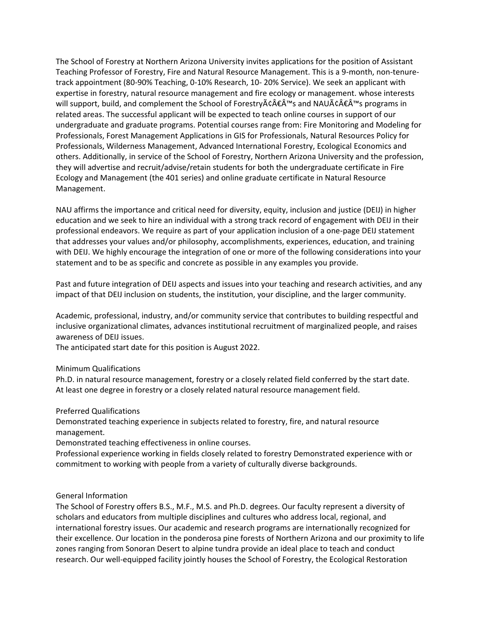The School of Forestry at Northern Arizona University invites applications for the position of Assistant Teaching Professor of Forestry, Fire and Natural Resource Management. This is a 9-month, non-tenuretrack appointment (80-90% Teaching, 0-10% Research, 10- 20% Service). We seek an applicant with expertise in forestry, natural resource management and fire ecology or management. whose interests will support, build, and complement the School of Forestry $\tilde{A} \in \hat{A}$  and NAU $\tilde{A} \in \hat{A}$  is programs in related areas. The successful applicant will be expected to teach online courses in support of our undergraduate and graduate programs. Potential courses range from: Fire Monitoring and Modeling for Professionals, Forest Management Applications in GIS for Professionals, Natural Resources Policy for Professionals, Wilderness Management, Advanced International Forestry, Ecological Economics and others. Additionally, in service of the School of Forestry, Northern Arizona University and the profession, they will advertise and recruit/advise/retain students for both the undergraduate certificate in Fire Ecology and Management (the 401 series) and online graduate certificate in Natural Resource Management.

NAU affirms the importance and critical need for diversity, equity, inclusion and justice (DEIJ) in higher education and we seek to hire an individual with a strong track record of engagement with DEIJ in their professional endeavors. We require as part of your application inclusion of a one-page DEIJ statement that addresses your values and/or philosophy, accomplishments, experiences, education, and training with DEIJ. We highly encourage the integration of one or more of the following considerations into your statement and to be as specific and concrete as possible in any examples you provide.

Past and future integration of DEIJ aspects and issues into your teaching and research activities, and any impact of that DEIJ inclusion on students, the institution, your discipline, and the larger community.

Academic, professional, industry, and/or community service that contributes to building respectful and inclusive organizational climates, advances institutional recruitment of marginalized people, and raises awareness of DEIJ issues.

The anticipated start date for this position is August 2022.

Minimum Qualifications

Ph.D. in natural resource management, forestry or a closely related field conferred by the start date. At least one degree in forestry or a closely related natural resource management field.

Preferred Qualifications

Demonstrated teaching experience in subjects related to forestry, fire, and natural resource management.

Demonstrated teaching effectiveness in online courses.

Professional experience working in fields closely related to forestry Demonstrated experience with or commitment to working with people from a variety of culturally diverse backgrounds.

## General Information

The School of Forestry offers B.S., M.F., M.S. and Ph.D. degrees. Our faculty represent a diversity of scholars and educators from multiple disciplines and cultures who address local, regional, and international forestry issues. Our academic and research programs are internationally recognized for their excellence. Our location in the ponderosa pine forests of Northern Arizona and our proximity to life zones ranging from Sonoran Desert to alpine tundra provide an ideal place to teach and conduct research. Our well-equipped facility jointly houses the School of Forestry, the Ecological Restoration